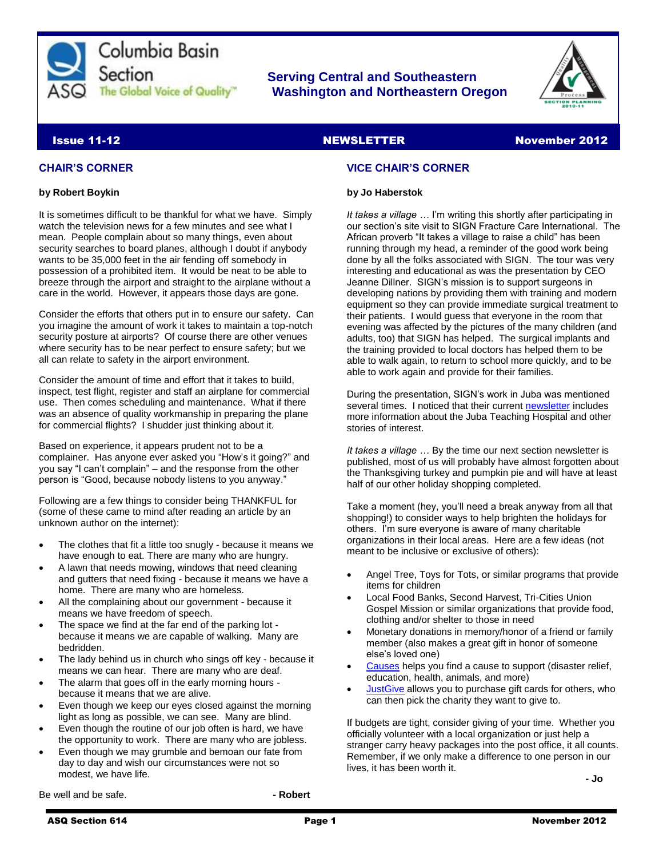

## **Serving Central and Southeastern The Global Voice of Quality Washington and Northeastern Oregon**

**by Jo Haberstok**

stories of interest.

**VICE CHAIR'S CORNER**



#### **Issue 11-12** NewsLETTER NewsLETTER November 2012

#### **CHAIR'S CORNER**

#### **by Robert Boykin**

It is sometimes difficult to be thankful for what we have. Simply watch the television news for a few minutes and see what I mean. People complain about so many things, even about security searches to board planes, although I doubt if anybody wants to be 35,000 feet in the air fending off somebody in possession of a prohibited item. It would be neat to be able to breeze through the airport and straight to the airplane without a care in the world. However, it appears those days are gone.

Consider the efforts that others put in to ensure our safety. Can you imagine the amount of work it takes to maintain a top-notch security posture at airports? Of course there are other venues where security has to be near perfect to ensure safety; but we all can relate to safety in the airport environment.

Consider the amount of time and effort that it takes to build, inspect, test flight, register and staff an airplane for commercial use. Then comes scheduling and maintenance. What if there was an absence of quality workmanship in preparing the plane for commercial flights? I shudder just thinking about it.

Based on experience, it appears prudent not to be a complainer. Has anyone ever asked you "How's it going?" and you say "I can't complain" – and the response from the other person is "Good, because nobody listens to you anyway."

Following are a few things to consider being THANKFUL for (some of these came to mind after reading an article by an unknown author on the internet):

- The clothes that fit a little too snugly because it means we have enough to eat. There are many who are hungry.
- A lawn that needs mowing, windows that need cleaning and gutters that need fixing - because it means we have a home. There are many who are homeless.
- All the complaining about our government because it means we have freedom of speech.
- The space we find at the far end of the parking lot because it means we are capable of walking. Many are bedridden.
- The lady behind us in church who sings off key because it means we can hear. There are many who are deaf.
- The alarm that goes off in the early morning hours because it means that we are alive.
- Even though we keep our eyes closed against the morning light as long as possible, we can see. Many are blind.
- Even though the routine of our job often is hard, we have the opportunity to work. There are many who are jobless.
- Even though we may grumble and bemoan our fate from day to day and wish our circumstances were not so modest, we have life.

Be well and be safe. **and in the same in the set of the set of the Robert - Robert** 

ASQ Section 614 Page 1 November 2012

others. I'm sure everyone is aware of many charitable organizations in their local areas. Here are a few ideas (not meant to be inclusive or exclusive of others):

*It takes a village …* I'm writing this shortly after participating in our section's site visit to SIGN Fracture Care International. The African proverb "It takes a village to raise a child" has been running through my head, a reminder of the good work being done by all the folks associated with SIGN. The tour was very interesting and educational as was the presentation by CEO Jeanne Dillner. SIGN's mission is to support surgeons in developing nations by providing them with training and modern equipment so they can provide immediate surgical treatment to their patients. I would guess that everyone in the room that evening was affected by the pictures of the many children (and adults, too) that SIGN has helped. The surgical implants and the training provided to local doctors has helped them to be able to walk again, to return to school more quickly, and to be

able to work again and provide for their families.

half of our other holiday shopping completed.

During the presentation, SIGN's work in Juba was mentioned several times. I noticed that their current [newsletter](http://www.signfracturecare.org/newsletters/2012/nov12.pdf) includes more information about the Juba Teaching Hospital and other

*It takes a village …* By the time our next section newsletter is published, most of us will probably have almost forgotten about the Thanksgiving turkey and pumpkin pie and will have at least

Take a moment (hey, you'll need a break anyway from all that shopping!) to consider ways to help brighten the holidays for

- Angel Tree, Toys for Tots, or similar programs that provide items for children
- Local Food Banks, Second Harvest, Tri-Cities Union Gospel Mission or similar organizations that provide food, clothing and/or shelter to those in need
- Monetary donations in memory/honor of a friend or family member (also makes a great gift in honor of someone else's loved one)
- [Causes](http://www.causes.com/) helps you find a cause to support (disaster relief, education, health, animals, and more)
- [JustGive](http://www.justgive.org/) allows you to purchase gift cards for others, who can then pick the charity they want to give to.

If budgets are tight, consider giving of your time. Whether you officially volunteer with a local organization or just help a stranger carry heavy packages into the post office, it all counts. Remember, if we only make a difference to one person in our lives, it has been worth it.

**- Jo**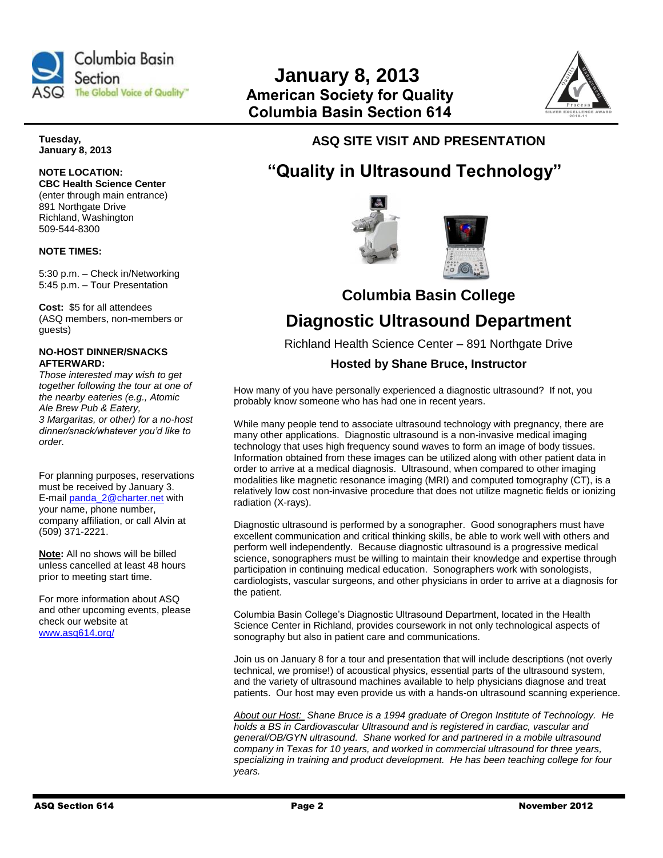



**Tuesday, January 8, 2013**

# **NOTE LOCATION:**

**CBC Health Science Center**  (enter through main entrance) 891 Northgate Drive Richland, Washington 509-544-8300

#### **NOTE TIMES:**

5:30 p.m. – Check in/Networking 5:45 p.m. – Tour Presentation

**Cost:** \$5 for all attendees (ASQ members, non-members or guests)

#### **NO-HOST DINNER/SNACKS AFTERWARD:**

*Those interested may wish to get together following the tour at one of the nearby eateries (e.g., Atomic Ale Brew Pub & Eatery, 3 Margaritas, or other) for a no-host dinner/snack/whatever you'd like to order.*

For planning purposes, reservations must be received by January 3. E-mail [panda\\_2@charter.net](mailto:panda_2@charter.net) with your name, phone number, company affiliation, or call Alvin at (509) 371-2221.

**Note:** All no shows will be billed unless cancelled at least 48 hours prior to meeting start time.

For more information about ASQ and other upcoming events, please check our website at [www.asq614.org/](http://www.asq614.org/)

## **ASQ SITE VISIT AND PRESENTATION**

# **"Quality in Ultrasound Technology"**



**Columbia Basin College**

# **Diagnostic Ultrasound Department**

Richland Health Science Center – 891 Northgate Drive

### **Hosted by Shane Bruce, Instructor**

How many of you have personally experienced a diagnostic ultrasound? If not, you probably know someone who has had one in recent years.

While many people tend to associate ultrasound technology with pregnancy, there are many other applications. Diagnostic ultrasound is a non-invasive medical imaging technology that uses high frequency sound waves to form an image of body tissues. Information obtained from these images can be utilized along with other patient data in order to arrive at a medical diagnosis. Ultrasound, when compared to other imaging modalities like magnetic resonance imaging (MRI) and computed tomography (CT), is a relatively low cost non-invasive procedure that does not utilize magnetic fields or ionizing radiation (X-rays).

Diagnostic ultrasound is performed by a sonographer. Good sonographers must have excellent communication and critical thinking skills, be able to work well with others and perform well independently. Because diagnostic ultrasound is a progressive medical science, sonographers must be willing to maintain their knowledge and expertise through participation in continuing medical education. Sonographers work with sonologists, cardiologists, vascular surgeons, and other physicians in order to arrive at a diagnosis for the patient.

Columbia Basin College's Diagnostic Ultrasound Department, located in the Health Science Center in Richland, provides coursework in not only technological aspects of sonography but also in patient care and communications.

Join us on January 8 for a tour and presentation that will include descriptions (not overly technical, we promise!) of acoustical physics, essential parts of the ultrasound system, and the variety of ultrasound machines available to help physicians diagnose and treat patients. Our host may even provide us with a hands-on ultrasound scanning experience.

*About our Host: Shane Bruce is a 1994 graduate of Oregon Institute of Technology. He holds a BS in Cardiovascular Ultrasound and is registered in cardiac, vascular and general/OB/GYN ultrasound. Shane worked for and partnered in a mobile ultrasound company in Texas for 10 years, and worked in commercial ultrasound for three years, specializing in training and product development. He has been teaching college for four years.*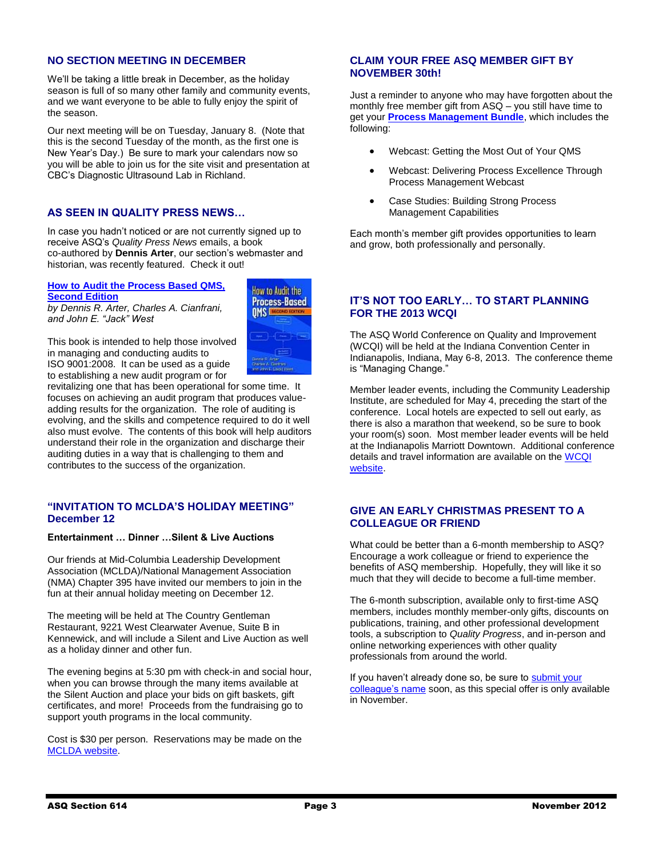#### **NO SECTION MEETING IN DECEMBER**

We'll be taking a little break in December, as the holiday season is full of so many other family and community events, and we want everyone to be able to fully enjoy the spirit of the season.

Our next meeting will be on Tuesday, January 8. (Note that this is the second Tuesday of the month, as the first one is New Year's Day.) Be sure to mark your calendars now so you will be able to join us for the site visit and presentation at CBC's Diagnostic Ultrasound Lab in Richland.

#### **AS SEEN IN QUALITY PRESS NEWS…**

In case you hadn't noticed or are not currently signed up to receive ASQ's *Quality Press News* emails, a book co-authored by **Dennis Arter**, our section's webmaster and historian, was recently featured. Check it out!

**How to [Audit the Process Based QMS,](http://links.mkt3019.com/ctt?kn=31&ms=NTA5NzYzMAS2&r=ODk0Mzk2NjI1NgS2&b=0&j=NTgyNDA3NzES1&mt=1&rt=0)  [Second Edition](http://links.mkt3019.com/ctt?kn=31&ms=NTA5NzYzMAS2&r=ODk0Mzk2NjI1NgS2&b=0&j=NTgyNDA3NzES1&mt=1&rt=0)**

*by Dennis R. Arter, Charles A. Cianfrani, and John E. "Jack" West*



This book is intended to help those involved in managing and conducting audits to ISO 9001:2008. It can be used as a guide to establishing a new audit program or for

revitalizing one that has been operational for some time. It focuses on achieving an audit program that produces valueadding results for the organization. The role of auditing is evolving, and the skills and competence required to do it well also must evolve. The contents of this book will help auditors understand their role in the organization and discharge their auditing duties in a way that is challenging to them and contributes to the success of the organization.

#### **"INVITATION TO MCLDA'S HOLIDAY MEETING" December 12**

#### **Entertainment … Dinner …Silent & Live Auctions**

Our friends at Mid-Columbia Leadership Development Association (MCLDA)/National Management Association (NMA) Chapter 395 have invited our members to join in the fun at their annual holiday meeting on December 12.

The meeting will be held at The Country Gentleman Restaurant, 9221 West Clearwater Avenue, Suite B in Kennewick, and will include a Silent and Live Auction as well as a holiday dinner and other fun.

The evening begins at 5:30 pm with check-in and social hour, when you can browse through the many items available at the Silent Auction and place your bids on gift baskets, gift certificates, and more! Proceeds from the fundraising go to support youth programs in the local community.

Cost is \$30 per person. Reservations may be made on the [MCLDA website.](http://www.mclda.org/)

#### **CLAIM YOUR FREE ASQ MEMBER GIFT BY NOVEMBER 30th!**

Just a reminder to anyone who may have forgotten about the monthly free member gift from ASQ – you still have time to get your **[Process Management Bundle](http://asq.org/member-gift/index.html?WT.dcsvid=ODk0Mzk2NjI1NgS2&WT.mc_id=EM119336)**, which includes the following:

- Webcast: Getting the Most Out of Your QMS
- Webcast: Delivering Process Excellence Through Process Management Webcast
- Case Studies: Building Strong Process Management Capabilities

Each month's member gift provides opportunities to learn and grow, both professionally and personally.

#### **IT'S NOT TOO EARLY… TO START PLANNING FOR THE 2013 WCQI**

The ASQ World Conference on Quality and Improvement (WCQI) will be held at the Indiana Convention Center in Indianapolis, Indiana, May 6-8, 2013. The conference theme is "Managing Change."

Member leader events, including the Community Leadership Institute, are scheduled for May 4, preceding the start of the conference. Local hotels are expected to sell out early, as there is also a marathon that weekend, so be sure to book your room(s) soon. Most member leader events will be held at the Indianapolis Marriott Downtown. Additional conference details and travel information are available on the [WCQI](http://wcqi.asq.org/theme-focus-areas.html)  [website.](http://wcqi.asq.org/theme-focus-areas.html)

#### **GIVE AN EARLY CHRISTMAS PRESENT TO A COLLEAGUE OR FRIEND**

What could be better than a 6-month membership to ASQ? Encourage a work colleague or friend to experience the benefits of ASQ membership. Hopefully, they will like it so much that they will decide to become a full-time member.

The 6-month subscription, available only to first-time ASQ members, includes monthly member-only gifts, discounts on publications, training, and other professional development tools, a subscription to *Quality Progress*, and in-person and online networking experiences with other quality professionals from around the world.

If you haven't already done so, be sure to submit your [colleague's name](http://membership.asq.org/voices12?id=137725&WT.dcsvid=MjczMTcwOTM3NzMS1&WT.mc_id=EM119414&spMailingID=5104776&spUserID=MjczMTcwOTM3NzMS1&spJobID=58334723&spReportId=NTgzMzQ3MjMS1) soon, as this special offer is only available in November.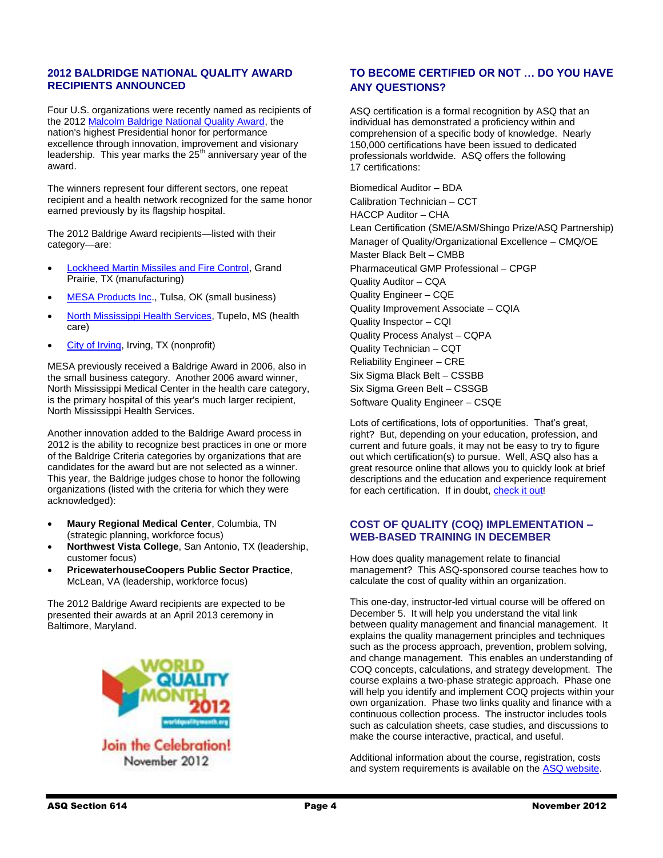#### **2012 BALDRIDGE NATIONAL QUALITY AWARD RECIPIENTS ANNOUNCED**

Four U.S. organizations were recently named as recipients of the 201[2 Malcolm Baldrige National Quality Award,](http://www.nist.gov/baldrige/about/index.cfm) the nation's highest Presidential honor for performance excellence through innovation, improvement and visionary leadership. This year marks the  $25<sup>th</sup>$  anniversary year of the award.

The winners represent four different sectors, one repeat recipient and a health network recognized for the same honor earned previously by its flagship hospital.

The 2012 Baldrige Award recipients—listed with their category—are:

- [Lockheed Martin Missiles and Fire Control,](http://links.govdelivery.com/track?type=click&enid=ZWFzPTEmbWFpbGluZ2lkPTIwMTIxMTE0LjEyMTU0NTIxJm1lc3NhZ2VpZD1NREItUFJELUJVTC0yMDEyMTExNC4xMjE1NDUyMSZkYXRhYmFzZWlkPTEwMDEmc2VyaWFsPTE3MjY1Mzk5JmVtYWlsaWQ9d3NxYUB3c3FhLm5ldCZ1c2VyaWQ9d3NxYUB3c3FhLm5ldCZmbD0mZXh0cmE9TXVsdGl2YXJpYXRlSWQ9JiYm&&&100&&&http://www.nist.gov/baldrige/award_recipients/lockheed-martin.cfm) Grand Prairie, TX (manufacturing)
- [MESA Products Inc.](http://links.govdelivery.com/track?type=click&enid=ZWFzPTEmbWFpbGluZ2lkPTIwMTIxMTE0LjEyMTU0NTIxJm1lc3NhZ2VpZD1NREItUFJELUJVTC0yMDEyMTExNC4xMjE1NDUyMSZkYXRhYmFzZWlkPTEwMDEmc2VyaWFsPTE3MjY1Mzk5JmVtYWlsaWQ9d3NxYUB3c3FhLm5ldCZ1c2VyaWQ9d3NxYUB3c3FhLm5ldCZmbD0mZXh0cmE9TXVsdGl2YXJpYXRlSWQ9JiYm&&&101&&&http://www.nist.gov/baldrige/award_recipients/mesa_profile.cfm), Tulsa, OK (small business)
- [North Mississippi Health Services,](http://links.govdelivery.com/track?type=click&enid=ZWFzPTEmbWFpbGluZ2lkPTIwMTIxMTE0LjEyMTU0NTIxJm1lc3NhZ2VpZD1NREItUFJELUJVTC0yMDEyMTExNC4xMjE1NDUyMSZkYXRhYmFzZWlkPTEwMDEmc2VyaWFsPTE3MjY1Mzk5JmVtYWlsaWQ9d3NxYUB3c3FhLm5ldCZ1c2VyaWQ9d3NxYUB3c3FhLm5ldCZmbD0mZXh0cmE9TXVsdGl2YXJpYXRlSWQ9JiYm&&&102&&&http://www.nist.gov/baldrige/award_recipients/no-ms-health-services_profile.cfm) Tupelo, MS (health care)
- [City of Irving,](http://links.govdelivery.com/track?type=click&enid=ZWFzPTEmbWFpbGluZ2lkPTIwMTIxMTE0LjEyMTU0NTIxJm1lc3NhZ2VpZD1NREItUFJELUJVTC0yMDEyMTExNC4xMjE1NDUyMSZkYXRhYmFzZWlkPTEwMDEmc2VyaWFsPTE3MjY1Mzk5JmVtYWlsaWQ9d3NxYUB3c3FhLm5ldCZ1c2VyaWQ9d3NxYUB3c3FhLm5ldCZmbD0mZXh0cmE9TXVsdGl2YXJpYXRlSWQ9JiYm&&&103&&&http://www.nist.gov/baldrige/award_recipients/irving_profile.cfm) Irving, TX (nonprofit)

MESA previously received a Baldrige Award in 2006, also in the small business category. Another 2006 award winner, North Mississippi Medical Center in the health care category, is the primary hospital of this year's much larger recipient, North Mississippi Health Services.

Another innovation added to the Baldrige Award process in 2012 is the ability to recognize best practices in one or more of the Baldrige Criteria categories by organizations that are candidates for the award but are not selected as a winner. This year, the Baldrige judges chose to honor the following organizations (listed with the criteria for which they were acknowledged):

- **Maury Regional Medical Center**, Columbia, TN (strategic planning, workforce focus)
- **Northwest Vista College**, San Antonio, TX (leadership, customer focus)
- **PricewaterhouseCoopers Public Sector Practice**, McLean, VA (leadership, workforce focus)

The 2012 Baldrige Award recipients are expected to be presented their awards at an April 2013 ceremony in Baltimore, Maryland.



November 2012

### **TO BECOME CERTIFIED OR NOT … DO YOU HAVE ANY QUESTIONS?**

ASQ certification is a formal recognition by ASQ that an individual has demonstrated a proficiency within and comprehension of a specific body of knowledge. Nearly 150,000 certifications have been issued to dedicated professionals worldwide. ASQ offers the following 17 certifications:

Biomedical Auditor – BDA Calibration Technician – CCT HACCP Auditor – CHA Lean Certification (SME/ASM/Shingo Prize/ASQ Partnership) Manager of Quality/Organizational Excellence – CMQ/OE Master Black Belt – CMBB Pharmaceutical GMP Professional – CPGP Quality Auditor – CQA Quality Engineer – CQE Quality Improvement Associate – CQIA Quality Inspector – CQI Quality Process Analyst – CQPA Quality Technician – CQT Reliability Engineer – CRE Six Sigma Black Belt – CSSBB Six Sigma Green Belt – CSSGB Software Quality Engineer – CSQE

Lots of certifications, lots of opportunities. That's great, right? But, depending on your education, profession, and current and future goals, it may not be easy to try to figure out which certification(s) to pursue. Well, ASQ also has a great resource online that allows you to quickly look at brief descriptions and the education and experience requirement for each certification. If in doubt, [check it out!](http://prdweb.asq.org/certification/control/right-for-you)

#### **COST OF QUALITY (COQ) IMPLEMENTATION – WEB-BASED TRAINING IN DECEMBER**

How does quality management relate to financial management? This ASQ-sponsored course teaches how to calculate the cost of quality within an organization.

This one-day, instructor-led virtual course will be offered on December 5. It will help you understand the vital link between quality management and financial management. It explains the quality management principles and techniques such as the process approach, prevention, problem solving, and change management. This enables an understanding of COQ concepts, calculations, and strategy development. The course explains a two-phase strategic approach. Phase one will help you identify and implement COQ projects within your own organization. Phase two links quality and finance with a continuous collection process. The instructor includes tools such as calculation sheets, case studies, and discussions to make the course interactive, practical, and useful.

Additional information about the course, registration, costs and system requirements is available on the [ASQ website.](http://asq.org/training/cost-of-quality-coq-implementation_VQCP.html)